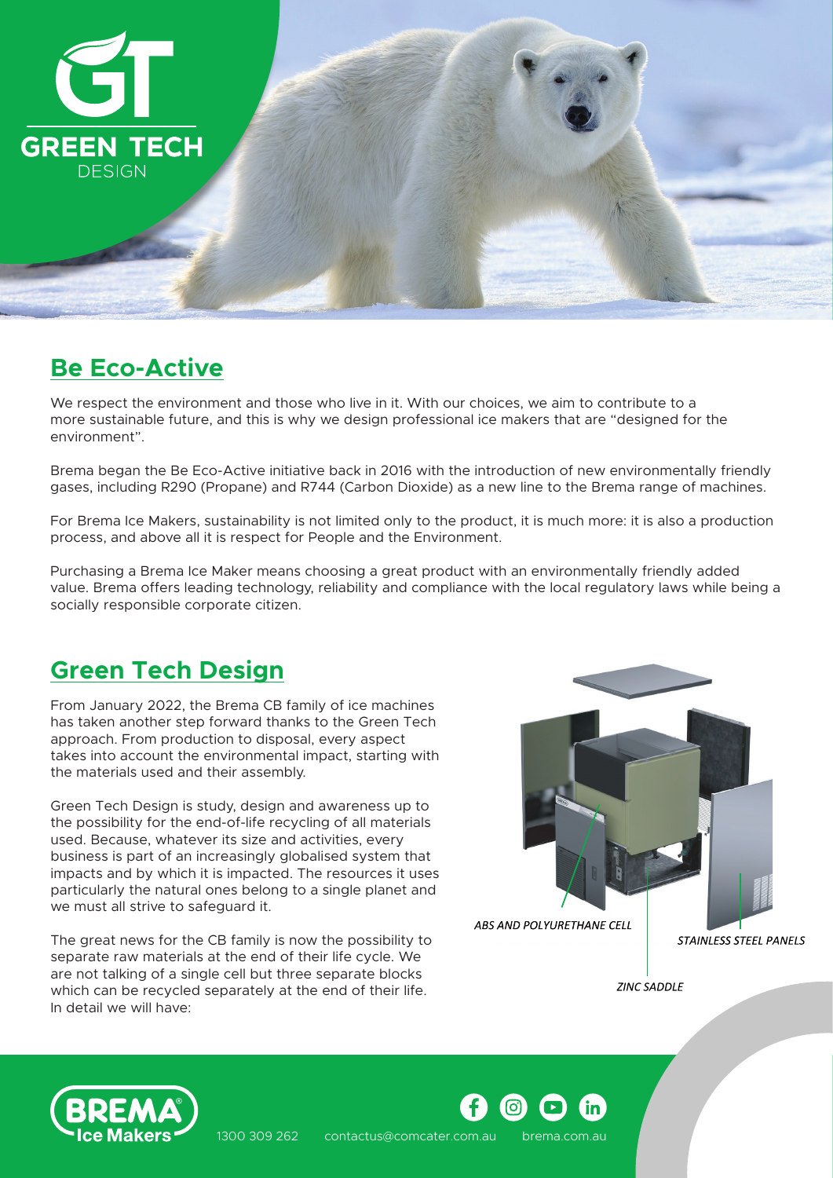

### **Be Eco-Active**

We respect the environment and those who live in it. With our choices, we aim to contribute to a more sustainable future, and this is why we design professional ice makers that are "designed for the environment".

Brema began the Be Eco-Active initiative back in 2016 with the introduction of new environmentally friendly gases, including R290 (Propane) and R744 (Carbon Dioxide) as a new line to the Brema range of machines.

For Brema Ice Makers, sustainability is not limited only to the product, it is much more: it is also a production process, and above all it is respect for People and the Environment.

Purchasing a Brema Ice Maker means choosing a great product with an environmentally friendly added value. Brema offers leading technology, reliability and compliance with the local regulatory laws while being a socially responsible corporate citizen.

## **Green Tech Design**

From January 2022, the Brema CB family of ice machines has taken another step forward thanks to the Green Tech approach. From production to disposal, every aspect takes into account the environmental impact, starting with the materials used and their assembly.

Green Tech Design is study, design and awareness up to the possibility for the end-of-life recycling of all materials used. Because, whatever its size and activities, every business is part of an increasingly globalised system that impacts and by which it is impacted. The resources it uses particularly the natural ones belong to a single planet and we must all strive to safeguard it.

The great news for the CB family is now the possibility to separate raw materials at the end of their life cycle. We are not talking of a single cell but three separate blocks which can be recycled separately at the end of their life. In detail we will have:



**ZINC SADDLE** 



1300 309 262 contactus@comcater.com.au brema.com.au